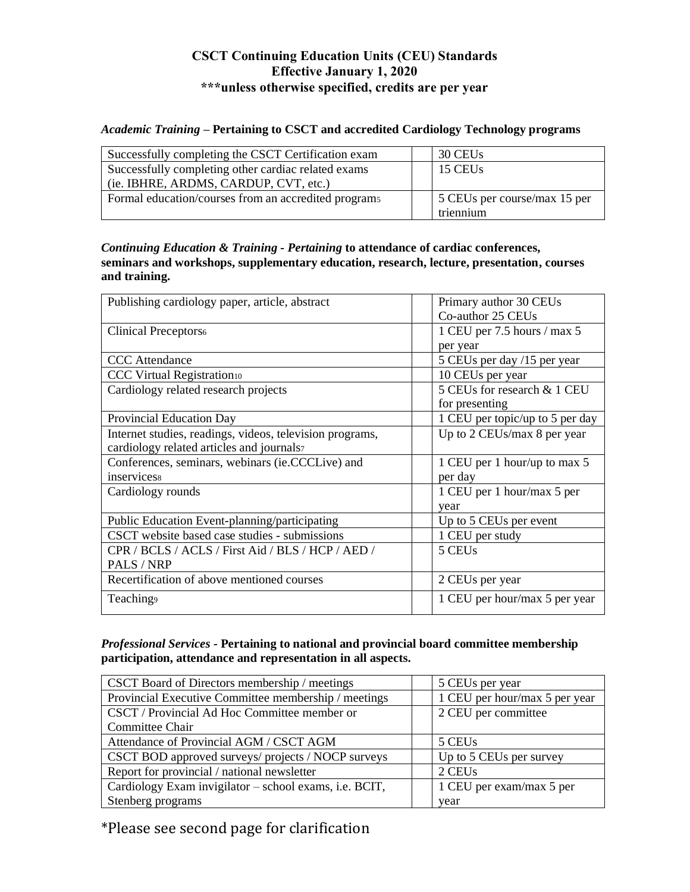## **CSCT Continuing Education Units (CEU) Standards Effective January 1, 2020 \*\*\*unless otherwise specified, credits are per year**

## *Academic Training –* **Pertaining to CSCT and accredited Cardiology Technology programs**

| Successfully completing the CSCT Certification exam  | 30 CEUs                      |
|------------------------------------------------------|------------------------------|
| Successfully completing other cardiac related exams  | 15 CEUs                      |
| (ie. IBHRE, ARDMS, CARDUP, CVT, etc.)                |                              |
| Formal education/courses from an accredited programs | 5 CEUs per course/max 15 per |
|                                                      | triennium                    |

*Continuing Education & Training - Pertaining* **to attendance of cardiac conferences, seminars and workshops, supplementary education, research, lecture, presentation, courses and training.**

| Publishing cardiology paper, article, abstract           | Primary author 30 CEUs          |
|----------------------------------------------------------|---------------------------------|
|                                                          | Co-author 25 CEUs               |
| Clinical Preceptors <sub>6</sub>                         | 1 CEU per 7.5 hours / max 5     |
|                                                          | per year                        |
| <b>CCC</b> Attendance                                    | 5 CEUs per day /15 per year     |
| <b>CCC Virtual Registration10</b>                        | 10 CEUs per year                |
| Cardiology related research projects                     | 5 CEUs for research & 1 CEU     |
|                                                          | for presenting                  |
| Provincial Education Day                                 | 1 CEU per topic/up to 5 per day |
| Internet studies, readings, videos, television programs, | Up to 2 CEUs/max 8 per year     |
| cardiology related articles and journals7                |                                 |
| Conferences, seminars, webinars (ie.CCCLive) and         | 1 CEU per 1 hour/up to max 5    |
| inservicess                                              | per day                         |
| Cardiology rounds                                        | 1 CEU per 1 hour/max 5 per      |
|                                                          | year                            |
| Public Education Event-planning/participating            | Up to 5 CEUs per event          |
| CSCT website based case studies - submissions            | 1 CEU per study                 |
| CPR / BCLS / ACLS / First Aid / BLS / HCP / AED /        | 5 CEU <sub>s</sub>              |
| PALS / NRP                                               |                                 |
| Recertification of above mentioned courses               | 2 CEUs per year                 |
| Teaching <sub>9</sub>                                    | 1 CEU per hour/max 5 per year   |
|                                                          |                                 |

*Professional Services -* **Pertaining to national and provincial board committee membership participation, attendance and representation in all aspects.** 

| CSCT Board of Directors membership / meetings          | 5 CEUs per year               |
|--------------------------------------------------------|-------------------------------|
| Provincial Executive Committee membership / meetings   | 1 CEU per hour/max 5 per year |
| CSCT / Provincial Ad Hoc Committee member or           | 2 CEU per committee           |
| Committee Chair                                        |                               |
| Attendance of Provincial AGM / CSCT AGM                | 5 CEUs                        |
| CSCT BOD approved surveys/ projects / NOCP surveys     | Up to 5 CEUs per survey       |
| Report for provincial / national newsletter            | 2 CEUs                        |
| Cardiology Exam invigilator – school exams, i.e. BCIT, | 1 CEU per exam/max 5 per      |
| Stenberg programs                                      | year                          |

\*Please see second page for clarification